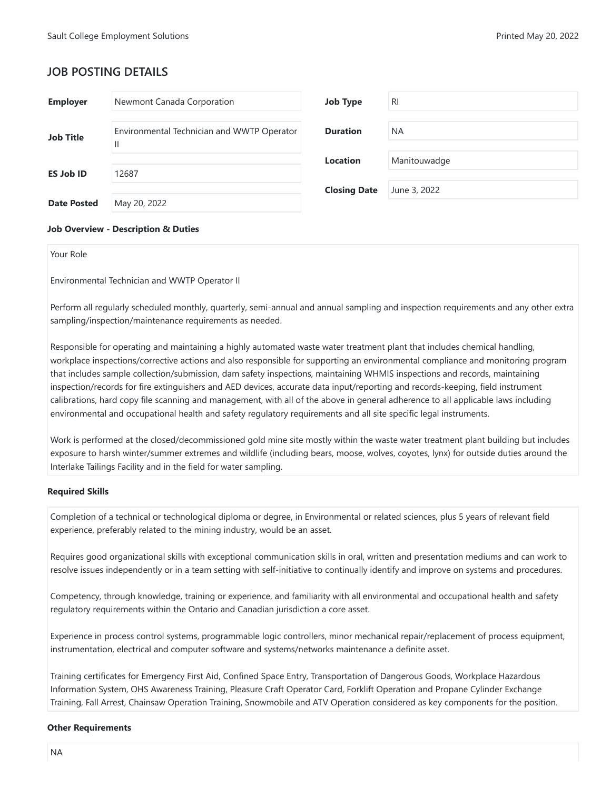# **JOB POSTING DETAILS**

| <b>Employer</b>    | Newmont Canada Corporation                                 | <b>Job Type</b>     | <b>RI</b>    |
|--------------------|------------------------------------------------------------|---------------------|--------------|
| <b>Job Title</b>   | Environmental Technician and WWTP Operator<br>$\mathbf{H}$ | <b>Duration</b>     | <b>NA</b>    |
|                    |                                                            | Location            | Manitouwadge |
| <b>ES Job ID</b>   | 12687                                                      |                     |              |
|                    |                                                            | <b>Closing Date</b> | June 3, 2022 |
| <b>Date Posted</b> | May 20, 2022                                               |                     |              |

### **Job Overview - Description & Duties**

Your Role

Environmental Technician and WWTP Operator II

Perform all regularly scheduled monthly, quarterly, semi-annual and annual sampling and inspection requirements and any other extra sampling/inspection/maintenance requirements as needed.

Responsible for operating and maintaining a highly automated waste water treatment plant that includes chemical handling, workplace inspections/corrective actions and also responsible for supporting an environmental compliance and monitoring program that includes sample collection/submission, dam safety inspections, maintaining WHMIS inspections and records, maintaining inspection/records for fire extinguishers and AED devices, accurate data input/reporting and records-keeping, field instrument calibrations, hard copy file scanning and management, with all of the above in general adherence to all applicable laws including environmental and occupational health and safety regulatory requirements and all site specific legal instruments.

Work is performed at the closed/decommissioned gold mine site mostly within the waste water treatment plant building but includes exposure to harsh winter/summer extremes and wildlife (including bears, moose, wolves, coyotes, lynx) for outside duties around the Interlake Tailings Facility and in the field for water sampling.

### **Required Skills**

Completion of a technical or technological diploma or degree, in Environmental or related sciences, plus 5 years of relevant field experience, preferably related to the mining industry, would be an asset.

Requires good organizational skills with exceptional communication skills in oral, written and presentation mediums and can work to resolve issues independently or in a team setting with self-initiative to continually identify and improve on systems and procedures.

Competency, through knowledge, training or experience, and familiarity with all environmental and occupational health and safety regulatory requirements within the Ontario and Canadian jurisdiction a core asset.

Experience in process control systems, programmable logic controllers, minor mechanical repair/replacement of process equipment, instrumentation, electrical and computer software and systems/networks maintenance a definite asset.

Training certificates for Emergency First Aid, Confined Space Entry, Transportation of Dangerous Goods, Workplace Hazardous Information System, OHS Awareness Training, Pleasure Craft Operator Card, Forklift Operation and Propane Cylinder Exchange Training, Fall Arrest, Chainsaw Operation Training, Snowmobile and ATV Operation considered as key components for the position.

#### **Other Requirements**